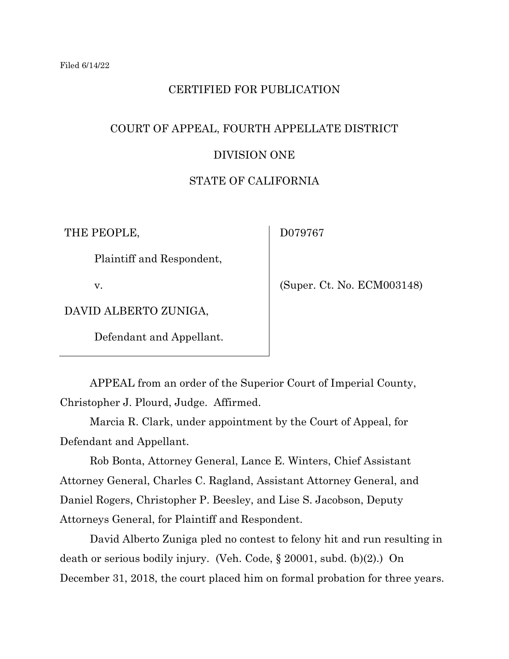#### CERTIFIED FOR PUBLICATION

# COURT OF APPEAL, FOURTH APPELLATE DISTRICT DIVISION ONE

### STATE OF CALIFORNIA

THE PEOPLE,

D079767

Plaintiff and Respondent,

v.

(Super. Ct. No. ECM003148)

DAVID ALBERTO ZUNIGA,

Defendant and Appellant.

APPEAL from an order of the Superior Court of Imperial County, Christopher J. Plourd, Judge. Affirmed.

Marcia R. Clark, under appointment by the Court of Appeal, for Defendant and Appellant.

Rob Bonta, Attorney General, Lance E. Winters, Chief Assistant Attorney General, Charles C. Ragland, Assistant Attorney General, and Daniel Rogers, Christopher P. Beesley, and Lise S. Jacobson, Deputy Attorneys General, for Plaintiff and Respondent.

David Alberto Zuniga pled no contest to felony hit and run resulting in death or serious bodily injury. (Veh. Code, § 20001, subd. (b)(2).) On December 31, 2018, the court placed him on formal probation for three years.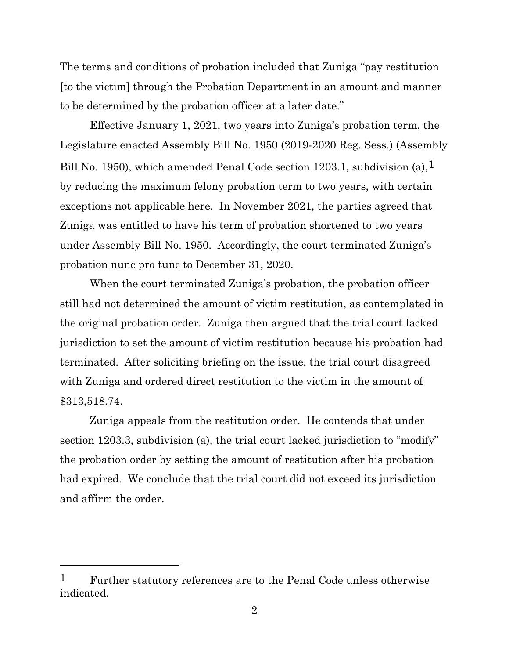The terms and conditions of probation included that Zuniga "pay restitution [to the victim] through the Probation Department in an amount and manner to be determined by the probation officer at a later date."

Effective January 1, 2021, two years into Zuniga's probation term, the Legislature enacted Assembly Bill No. 1950 (2019-2020 Reg. Sess.) (Assembly Bill No. 1950), which amended Penal Code section 1203.1, subdivision  $(a)$ , 1 by reducing the maximum felony probation term to two years, with certain exceptions not applicable here. In November 2021, the parties agreed that Zuniga was entitled to have his term of probation shortened to two years under Assembly Bill No. 1950. Accordingly, the court terminated Zuniga's probation nunc pro tunc to December 31, 2020.

When the court terminated Zuniga's probation, the probation officer still had not determined the amount of victim restitution, as contemplated in the original probation order. Zuniga then argued that the trial court lacked jurisdiction to set the amount of victim restitution because his probation had terminated. After soliciting briefing on the issue, the trial court disagreed with Zuniga and ordered direct restitution to the victim in the amount of \$313,518.74.

Zuniga appeals from the restitution order. He contends that under section 1203.3, subdivision (a), the trial court lacked jurisdiction to "modify" the probation order by setting the amount of restitution after his probation had expired. We conclude that the trial court did not exceed its jurisdiction and affirm the order.

<sup>&</sup>lt;sup>1</sup> Further statutory references are to the Penal Code unless otherwise indicated.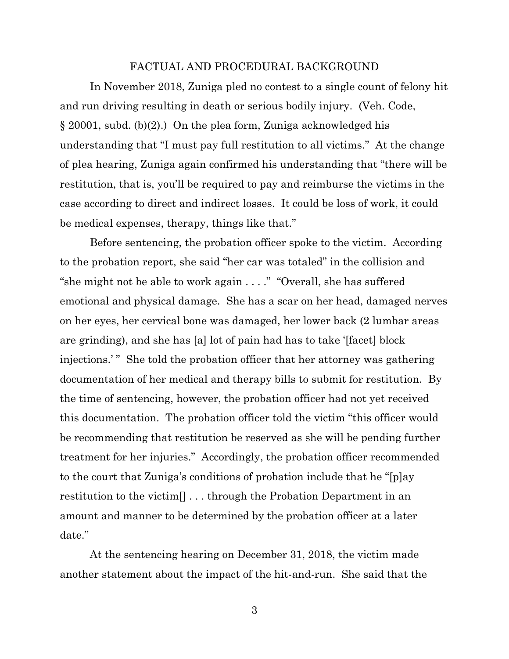#### FACTUAL AND PROCEDURAL BACKGROUND

In November 2018, Zuniga pled no contest to a single count of felony hit and run driving resulting in death or serious bodily injury. (Veh. Code, § 20001, subd. (b)(2).) On the plea form, Zuniga acknowledged his understanding that "I must pay full restitution to all victims." At the change of plea hearing, Zuniga again confirmed his understanding that "there will be restitution, that is, you'll be required to pay and reimburse the victims in the case according to direct and indirect losses. It could be loss of work, it could be medical expenses, therapy, things like that."

Before sentencing, the probation officer spoke to the victim. According to the probation report, she said "her car was totaled" in the collision and "she might not be able to work again . . . ." "Overall, she has suffered emotional and physical damage. She has a scar on her head, damaged nerves on her eyes, her cervical bone was damaged, her lower back (2 lumbar areas are grinding), and she has [a] lot of pain had has to take '[facet] block injections.'" She told the probation officer that her attorney was gathering documentation of her medical and therapy bills to submit for restitution. By the time of sentencing, however, the probation officer had not yet received this documentation. The probation officer told the victim "this officer would be recommending that restitution be reserved as she will be pending further treatment for her injuries." Accordingly, the probation officer recommended to the court that Zuniga's conditions of probation include that he "[p]ay restitution to the victim[] . . . through the Probation Department in an amount and manner to be determined by the probation officer at a later date."

At the sentencing hearing on December 31, 2018, the victim made another statement about the impact of the hit-and-run. She said that the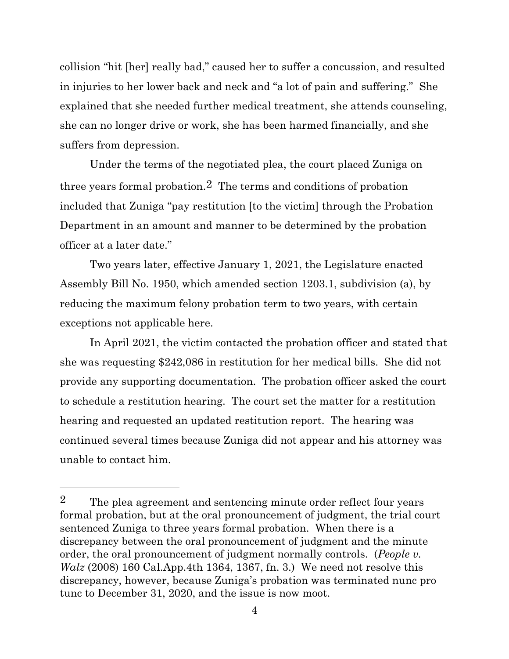collision "hit [her] really bad," caused her to suffer a concussion, and resulted in injuries to her lower back and neck and "a lot of pain and suffering." She explained that she needed further medical treatment, she attends counseling, she can no longer drive or work, she has been harmed financially, and she suffers from depression.

Under the terms of the negotiated plea, the court placed Zuniga on three years formal probation.2 The terms and conditions of probation included that Zuniga "pay restitution [to the victim] through the Probation Department in an amount and manner to be determined by the probation officer at a later date."

Two years later, effective January 1, 2021, the Legislature enacted Assembly Bill No. 1950, which amended section 1203.1, subdivision (a), by reducing the maximum felony probation term to two years, with certain exceptions not applicable here.

In April 2021, the victim contacted the probation officer and stated that she was requesting \$242,086 in restitution for her medical bills. She did not provide any supporting documentation. The probation officer asked the court to schedule a restitution hearing. The court set the matter for a restitution hearing and requested an updated restitution report. The hearing was continued several times because Zuniga did not appear and his attorney was unable to contact him.

<sup>2</sup> The plea agreement and sentencing minute order reflect four years formal probation, but at the oral pronouncement of judgment, the trial court sentenced Zuniga to three years formal probation. When there is a discrepancy between the oral pronouncement of judgment and the minute order, the oral pronouncement of judgment normally controls. (*People v. Walz* (2008) 160 Cal.App.4th 1364, 1367, fn. 3.) We need not resolve this discrepancy, however, because Zuniga's probation was terminated nunc pro tunc to December 31, 2020, and the issue is now moot.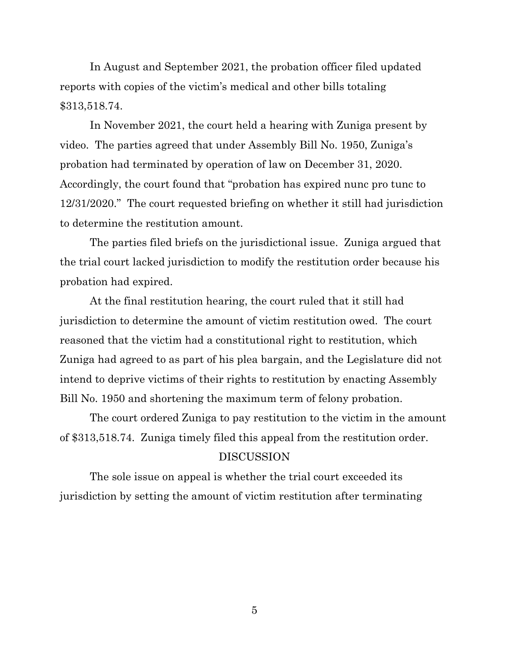In August and September 2021, the probation officer filed updated reports with copies of the victim's medical and other bills totaling \$313,518.74.

In November 2021, the court held a hearing with Zuniga present by video. The parties agreed that under Assembly Bill No. 1950, Zuniga's probation had terminated by operation of law on December 31, 2020. Accordingly, the court found that "probation has expired nunc pro tunc to 12/31/2020." The court requested briefing on whether it still had jurisdiction to determine the restitution amount.

The parties filed briefs on the jurisdictional issue. Zuniga argued that the trial court lacked jurisdiction to modify the restitution order because his probation had expired.

At the final restitution hearing, the court ruled that it still had jurisdiction to determine the amount of victim restitution owed. The court reasoned that the victim had a constitutional right to restitution, which Zuniga had agreed to as part of his plea bargain, and the Legislature did not intend to deprive victims of their rights to restitution by enacting Assembly Bill No. 1950 and shortening the maximum term of felony probation.

The court ordered Zuniga to pay restitution to the victim in the amount of \$313,518.74. Zuniga timely filed this appeal from the restitution order. DISCUSSION

The sole issue on appeal is whether the trial court exceeded its jurisdiction by setting the amount of victim restitution after terminating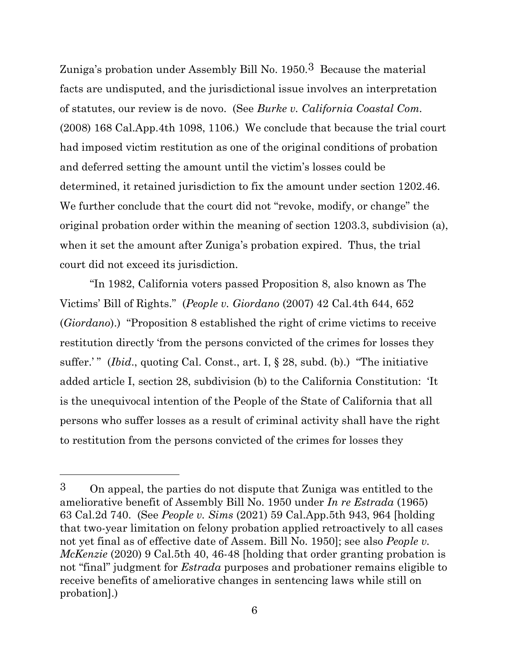Zuniga's probation under Assembly Bill No. 1950.3 Because the material facts are undisputed, and the jurisdictional issue involves an interpretation of statutes, our review is de novo. (See *Burke v. California Coastal Com.*  (2008) 168 Cal.App.4th 1098, 1106.) We conclude that because the trial court had imposed victim restitution as one of the original conditions of probation and deferred setting the amount until the victim's losses could be determined, it retained jurisdiction to fix the amount under section 1202.46. We further conclude that the court did not "revoke, modify, or change" the original probation order within the meaning of section 1203.3, subdivision (a), when it set the amount after Zuniga's probation expired. Thus, the trial court did not exceed its jurisdiction.

"In 1982, California voters passed Proposition 8, also known as The Victims' Bill of Rights." (*People v. Giordano* (2007) 42 Cal.4th 644, 652 (*Giordano*).) "Proposition 8 established the right of crime victims to receive restitution directly 'from the persons convicted of the crimes for losses they suffer.'" (*Ibid.*, quoting Cal. Const., art. I, § 28, subd. (b).) "The initiative added article I, section 28, subdivision (b) to the California Constitution: 'It is the unequivocal intention of the People of the State of California that all persons who suffer losses as a result of criminal activity shall have the right to restitution from the persons convicted of the crimes for losses they

<sup>3</sup> On appeal, the parties do not dispute that Zuniga was entitled to the ameliorative benefit of Assembly Bill No. 1950 under *In re Estrada* (1965) 63 Cal.2d 740. (See *People v. Sims* (2021) 59 Cal.App.5th 943, 964 [holding that two-year limitation on felony probation applied retroactively to all cases not yet final as of effective date of Assem. Bill No. 1950]; see also *People v. McKenzie* (2020) 9 Cal.5th 40, 46-48 [holding that order granting probation is not "final" judgment for *Estrada* purposes and probationer remains eligible to receive benefits of ameliorative changes in sentencing laws while still on probation].)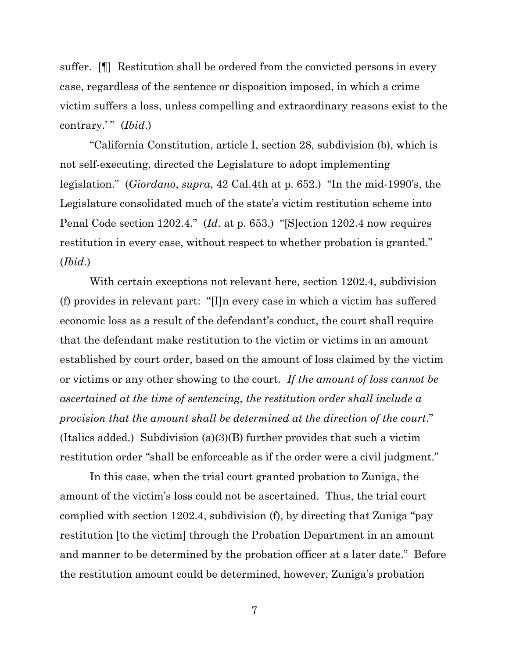suffer. [¶] Restitution shall be ordered from the convicted persons in every case, regardless of the sentence or disposition imposed, in which a crime victim suffers a loss, unless compelling and extraordinary reasons exist to the contrary.'" (*Ibid.*)

"California Constitution, article I, section 28, subdivision (b), which is not self-executing, directed the Legislature to adopt implementing legislation." (*Giordano*, *supra*, 42 Cal.4th at p. 652.) "In the mid-1990's, the Legislature consolidated much of the state's victim restitution scheme into Penal Code section 1202.4." (*Id*. at p. 653.) "[S]ection 1202.4 now requires restitution in every case, without respect to whether probation is granted." (*Ibid*.)

With certain exceptions not relevant here, section 1202.4, subdivision (f) provides in relevant part: "[I]n every case in which a victim has suffered economic loss as a result of the defendant's conduct, the court shall require that the defendant make restitution to the victim or victims in an amount established by court order, based on the amount of loss claimed by the victim or victims or any other showing to the court*. If the amount of loss cannot be ascertained at the time of sentencing, the restitution order shall include a provision that the amount shall be determined at the direction of the court*." (Italics added.) Subdivision  $(a)(3)(B)$  further provides that such a victim restitution order "shall be enforceable as if the order were a civil judgment."

In this case, when the trial court granted probation to Zuniga, the amount of the victim's loss could not be ascertained. Thus, the trial court complied with section 1202.4, subdivision (f), by directing that Zuniga "pay restitution [to the victim] through the Probation Department in an amount and manner to be determined by the probation officer at a later date." Before the restitution amount could be determined, however, Zuniga's probation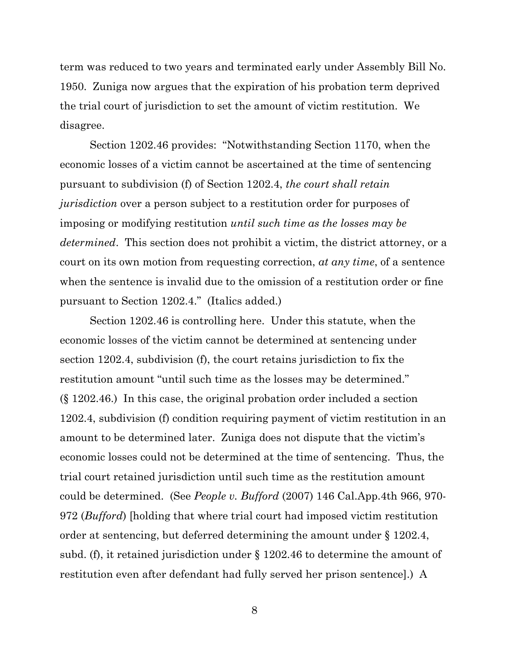term was reduced to two years and terminated early under Assembly Bill No. 1950. Zuniga now argues that the expiration of his probation term deprived the trial court of jurisdiction to set the amount of victim restitution. We disagree.

Section 1202.46 provides: "Notwithstanding Section 1170, when the economic losses of a victim cannot be ascertained at the time of sentencing pursuant to subdivision (f) of Section 1202.4, *the court shall retain jurisdiction* over a person subject to a restitution order for purposes of imposing or modifying restitution *until such time as the losses may be determined*. This section does not prohibit a victim, the district attorney, or a court on its own motion from requesting correction, *at any time*, of a sentence when the sentence is invalid due to the omission of a restitution order or fine pursuant to Section 1202.4." (Italics added.)

Section 1202.46 is controlling here. Under this statute, when the economic losses of the victim cannot be determined at sentencing under section 1202.4, subdivision (f), the court retains jurisdiction to fix the restitution amount "until such time as the losses may be determined." (§ 1202.46.) In this case, the original probation order included a section 1202.4, subdivision (f) condition requiring payment of victim restitution in an amount to be determined later. Zuniga does not dispute that the victim's economic losses could not be determined at the time of sentencing. Thus, the trial court retained jurisdiction until such time as the restitution amount could be determined. (See *People v. Bufford* (2007) 146 Cal.App.4th 966, 970- 972 (*Bufford*) [holding that where trial court had imposed victim restitution order at sentencing, but deferred determining the amount under § 1202.4, subd. (f), it retained jurisdiction under § 1202.46 to determine the amount of restitution even after defendant had fully served her prison sentence].) A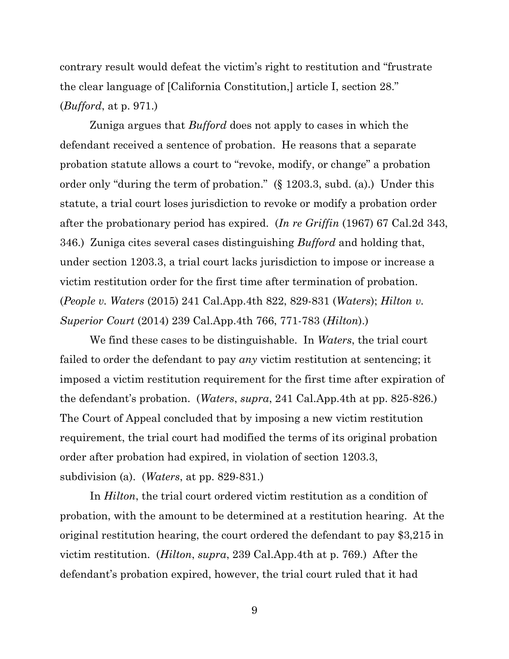contrary result would defeat the victim's right to restitution and "frustrate the clear language of [California Constitution,] article I, section 28." (*Bufford*, at p. 971.)

Zuniga argues that *Bufford* does not apply to cases in which the defendant received a sentence of probation. He reasons that a separate probation statute allows a court to "revoke, modify, or change" a probation order only "during the term of probation." (§ 1203.3, subd. (a).) Under this statute, a trial court loses jurisdiction to revoke or modify a probation order after the probationary period has expired. (*In re Griffin* (1967) 67 Cal.2d 343, 346.) Zuniga cites several cases distinguishing *Bufford* and holding that, under section 1203.3, a trial court lacks jurisdiction to impose or increase a victim restitution order for the first time after termination of probation. (*People v. Waters* (2015) 241 Cal.App.4th 822, 829-831 (*Waters*); *Hilton v. Superior Court* (2014) 239 Cal.App.4th 766, 771-783 (*Hilton*).)

We find these cases to be distinguishable. In *Waters*, the trial court failed to order the defendant to pay *any* victim restitution at sentencing; it imposed a victim restitution requirement for the first time after expiration of the defendant's probation. (*Waters*, *supra*, 241 Cal.App.4th at pp. 825-826.) The Court of Appeal concluded that by imposing a new victim restitution requirement, the trial court had modified the terms of its original probation order after probation had expired, in violation of section 1203.3, subdivision (a). (*Waters*, at pp. 829-831.)

In *Hilton*, the trial court ordered victim restitution as a condition of probation, with the amount to be determined at a restitution hearing. At the original restitution hearing, the court ordered the defendant to pay \$3,215 in victim restitution. (*Hilton*, *supra*, 239 Cal.App.4th at p. 769.) After the defendant's probation expired, however, the trial court ruled that it had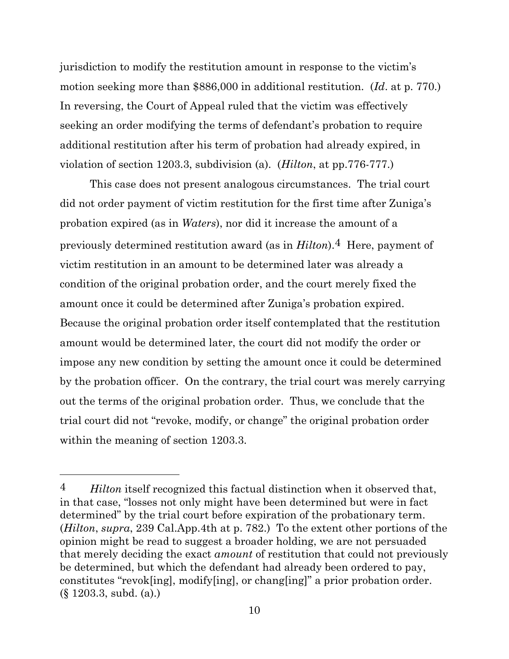jurisdiction to modify the restitution amount in response to the victim's motion seeking more than \$886,000 in additional restitution. (*Id*. at p. 770.) In reversing, the Court of Appeal ruled that the victim was effectively seeking an order modifying the terms of defendant's probation to require additional restitution after his term of probation had already expired, in violation of section 1203.3, subdivision (a). (*Hilton*, at pp.776-777.)

This case does not present analogous circumstances. The trial court did not order payment of victim restitution for the first time after Zuniga's probation expired (as in *Waters*), nor did it increase the amount of a previously determined restitution award (as in *Hilton*).4 Here, payment of victim restitution in an amount to be determined later was already a condition of the original probation order, and the court merely fixed the amount once it could be determined after Zuniga's probation expired. Because the original probation order itself contemplated that the restitution amount would be determined later, the court did not modify the order or impose any new condition by setting the amount once it could be determined by the probation officer. On the contrary, the trial court was merely carrying out the terms of the original probation order. Thus, we conclude that the trial court did not "revoke, modify, or change" the original probation order within the meaning of section 1203.3.

<sup>4</sup> *Hilton* itself recognized this factual distinction when it observed that, in that case, "losses not only might have been determined but were in fact determined" by the trial court before expiration of the probationary term. (*Hilton*, *supra*, 239 Cal.App.4th at p. 782.) To the extent other portions of the opinion might be read to suggest a broader holding, we are not persuaded that merely deciding the exact *amount* of restitution that could not previously be determined, but which the defendant had already been ordered to pay, constitutes "revok[ing], modify[ing], or chang[ing]" a prior probation order. (§ 1203.3, subd. (a).)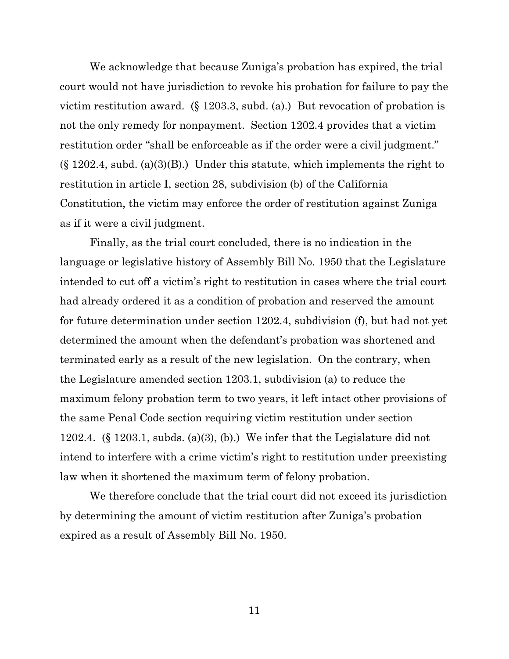We acknowledge that because Zuniga's probation has expired, the trial court would not have jurisdiction to revoke his probation for failure to pay the victim restitution award. (§ 1203.3, subd. (a).) But revocation of probation is not the only remedy for nonpayment. Section 1202.4 provides that a victim restitution order "shall be enforceable as if the order were a civil judgment."  $(\S 1202.4, \text{subd.} (a)(3)(B))$ . Under this statute, which implements the right to restitution in article I, section 28, subdivision (b) of the California Constitution, the victim may enforce the order of restitution against Zuniga as if it were a civil judgment.

Finally, as the trial court concluded, there is no indication in the language or legislative history of Assembly Bill No. 1950 that the Legislature intended to cut off a victim's right to restitution in cases where the trial court had already ordered it as a condition of probation and reserved the amount for future determination under section 1202.4, subdivision (f), but had not yet determined the amount when the defendant's probation was shortened and terminated early as a result of the new legislation. On the contrary, when the Legislature amended section 1203.1, subdivision (a) to reduce the maximum felony probation term to two years, it left intact other provisions of the same Penal Code section requiring victim restitution under section 1202.4. (§ 1203.1, subds. (a)(3), (b).) We infer that the Legislature did not intend to interfere with a crime victim's right to restitution under preexisting law when it shortened the maximum term of felony probation.

We therefore conclude that the trial court did not exceed its jurisdiction by determining the amount of victim restitution after Zuniga's probation expired as a result of Assembly Bill No. 1950.